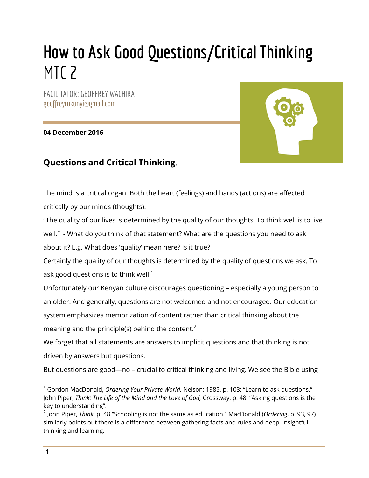# **How to Ask Good Questions/Critical Thinking**  MT<sub>C</sub> 2

FACILITATOR: GEOFFREY WACHIRA geoffreyrukunyi@gmail.com

**04 December 2016**



# **Questions and Critical Thinking**.

The mind is a critical organ. Both the heart (feelings) and hands (actions) are affected critically by our minds (thoughts).

"The quality of our lives is determined by the quality of our thoughts. To think well is to live well." - What do you think of that statement? What are the questions you need to ask

about it? E.g. What does 'quality' mean here? Is it true?

Certainly the quality of our thoughts is determined by the quality of questions we ask. To ask good questions is to think well.<sup>1</sup>

Unfortunately our Kenyan culture discourages questioning – especially a young person to an older. And generally, questions are not welcomed and not encouraged. Our education system emphasizes memorization of content rather than critical thinking about the meaning and the principle(s) behind the content.<sup>2</sup>

We forget that all statements are answers to implicit questions and that thinking is not driven by answers but questions.

But questions are good—no – crucial to critical thinking and living. We see the Bible using

<sup>1</sup> Gordon MacDonald, *Ordering Your Private World,* Nelson: 1985, p. 103: "Learn to ask questions." John Piper, *Think: The Life of the Mind and the Love of God,* Crossway, p. 48: "Asking questions is the key to understanding".

<sup>2</sup> John Piper, *Think*, p. 48 "Schooling is not the same as education." MacDonald (*Ordering*, p. 93, 97) similarly points out there is a difference between gathering facts and rules and deep, insightful thinking and learning.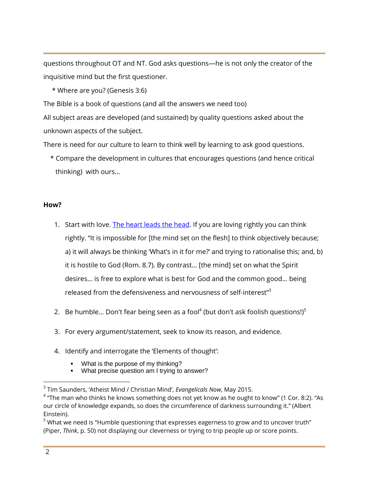questions throughout OT and NT. God asks questions—he is not only the creator of the inquisitive mind but the first questioner.

\* Where are you? (Genesis 3:6)

The Bible is a book of questions (and all the answers we need too)

All subject areas are developed (and sustained) by quality questions asked about the unknown aspects of the subject.

There is need for our culture to learn to think well by learning to ask good questions.

 \* Compare the development in cultures that encourages questions (and hence critical thinking) with ours...

#### **How?**

- 1. Start with love. [The heart leads the head.](https://watumishiwaneno.wordpress.com/2013/01/25/the-passion-driven-life/) If you are loving rightly you can think rightly. "It is impossible for [the mind set on the flesh] to think objectively because; a) it will always be thinking 'What's in it for me?' and trying to rationalise this; and, b) it is hostile to God (Rom. 8.7). By contrast… [the mind] set on what the Spirit desires… is free to explore what is best for God and the common good… being released from the defensiveness and nervousness of self-interest"<sup>3</sup>
- 2. Be humble... Don't fear being seen as a fool<sup>4</sup> (but don't ask foolish questions!)<sup>5</sup>
- 3. For every argument/statement, seek to know its reason, and evidence.
- 4. Identify and interrogate the 'Elements of thought':
	- What is the purpose of my thinking?
	- What precise question am I trying to answer?

<sup>3</sup> Tim Saunders, 'Atheist Mind / Christian Mind', *Evangelicals Now*, May 2015.

 $^4$  "The man who thinks he knows something does not yet know as he ought to know" (1 Cor. 8:2). "As our circle of knowledge expands, so does the circumference of darkness surrounding it." (Albert Einstein).

<sup>&</sup>lt;sup>5</sup> What we need is "Humble questioning that expresses eagerness to grow and to uncover truth" (Piper, *Think*, p. 50) not displaying our cleverness or trying to trip people up or score points.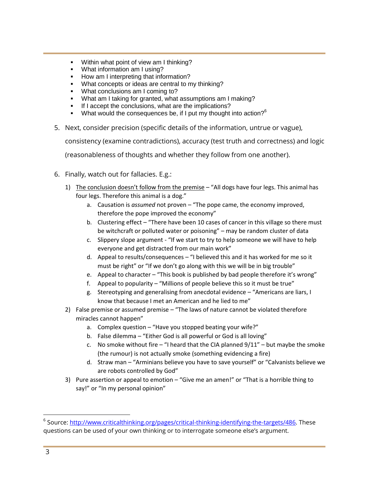- Within what point of view am I thinking?
- What information am I using?
- How am I interpreting that information?
- What concepts or ideas are central to my thinking?
- What conclusions am I coming to?
- What am I taking for granted, what assumptions am I making?
- If I accept the conclusions, what are the implications?
- What would the consequences be, if I put my thought into action?<sup>6</sup>
- 5. Next, consider precision (specific details of the information, untrue or vague),

consistency (examine contradictions), accuracy (test truth and correctness) and logic

(reasonableness of thoughts and whether they follow from one another).

- 6. Finally, watch out for fallacies. E.g.:
	- 1) The conclusion doesn't follow from the premise "All dogs have four legs. This animal has four legs. Therefore this animal is a dog."
		- a. Causation is *assumed* not proven "The pope came, the economy improved, therefore the pope improved the economy"
		- b. Clustering effect "There have been 10 cases of cancer in this village so there must be witchcraft or polluted water or poisoning" – may be random cluster of data
		- c. Slippery slope argument "If we start to try to help someone we will have to help everyone and get distracted from our main work"
		- d. Appeal to results/consequences "I believed this and it has worked for me so it must be right" or "If we don't go along with this we will be in big trouble"
		- e. Appeal to character "This book is published by bad people therefore it's wrong"
		- f. Appeal to popularity "Millions of people believe this so it must be true"
		- g. Stereotyping and generalising from anecdotal evidence "Americans are liars, I know that because I met an American and he lied to me"
	- 2) False premise or assumed premise "The laws of nature cannot be violated therefore miracles cannot happen"
		- a. Complex question "Have you stopped beating your wife?"
		- b. False dilemma "Either God is all powerful or God is all loving"
		- c. No smoke without fire  $-$  "I heard that the CIA planned  $9/11"$  but maybe the smoke (the rumour) is not actually smoke (something evidencing a fire)
		- d. Straw man "Arminians believe you have to save yourself" or "Calvanists believe we are robots controlled by God"
	- 3) Pure assertion or appeal to emotion "Give me an amen!" or "That is a horrible thing to say!" or "In my personal opinion"

 $\overline{\phantom{a}}$ 

<sup>&</sup>lt;sup>6</sup> Source: http://www.criticalthinking.org/pages/critical-thinking-identifying-the-targets/486</u>. These questions can be used of your own thinking or to interrogate someone else's argument.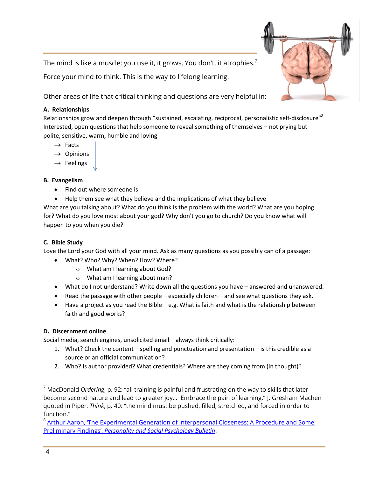The mind is like a muscle: you use it, it grows. You don't, it atrophies. $^7$ 

Force your mind to think. This is the way to lifelong learning.

Other areas of life that critical thinking and questions are very helpful in:

### **A. Relationships**

Relationships grow and deepen through "sustained, escalating, reciprocal, personalistic self-disclosure"<sup>8</sup> Interested, open questions that help someone to reveal something of themselves – not prying but polite, sensitive, warm, humble and loving

- $\rightarrow$  Facts
- $\rightarrow$  Opinions
- $\rightarrow$  Feelings

#### **B. Evangelism**

- Find out where someone is
- Help them see what they believe and the implications of what they believe

What are you talking about? What do you think is the problem with the world? What are you hoping for? What do you love most about your god? Why don't you go to church? Do you know what will happen to you when you die?

# **C. Bible Study**

Love the Lord your God with all your mind. Ask as many questions as you possibly can of a passage:

- What? Who? Why? When? How? Where?
	- o What am I learning about God?
	- o What am I learning about man?
- What do I not understand? Write down all the questions you have answered and unanswered.
- Read the passage with other people especially children and see what questions they ask.
- Have a project as you read the Bible e.g. What is faith and what is the relationship between faith and good works?

# **D. Discernment online**

Social media, search engines, unsolicited email – always think critically:

- 1. What? Check the content spelling and punctuation and presentation is this credible as a source or an official communication?
- 2. Who? Is author provided? What credentials? Where are they coming from (in thought)?

<sup>7</sup> MacDonald *Ordering*, p. 92: "all training is painful and frustrating on the way to skills that later become second nature and lead to greater joy… Embrace the pain of learning." J. Gresham Machen quoted in Piper, *Think*, p. 40: "the mind must be pushed, filled, stretched, and forced in order to function."

<sup>&</sup>lt;sup>8</sup> Arthur Aaron, 'The Experimental Generation of Interpersonal Closeness: A Procedure and Some Preliminary Findings', *[Personality and Social Psychology Bulletin](http://www.stafforini.com/txt/Aron%20et%20al%20-%20The%20experimental%20generation%20of%20interpersonal%20closeness.pdf)*.